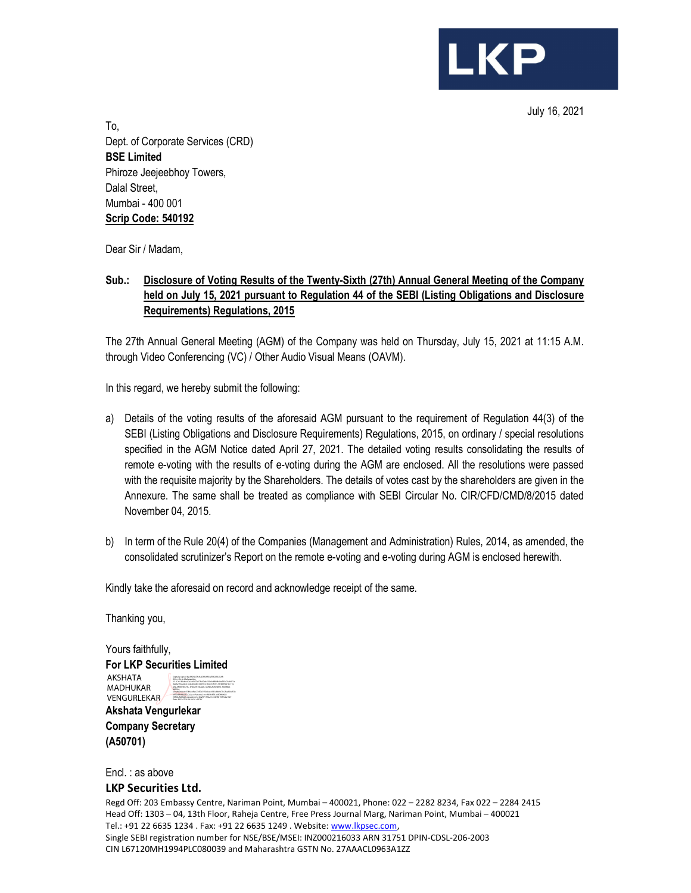July 16, 2021

**LKP** 

To, Dept. of Corporate Services (CRD) BSE Limited Phiroze Jeejeebhoy Towers, Dalal Street, Mumbai - 400 001 Scrip Code: 540192

Dear Sir / Madam,

### Sub.: Disclosure of Voting Results of the Twenty-Sixth (27th) Annual General Meeting of the Company held on July 15, 2021 pursuant to Regulation 44 of the SEBI (Listing Obligations and Disclosure Requirements) Regulations, 2015

The 27th Annual General Meeting (AGM) of the Company was held on Thursday, July 15, 2021 at 11:15 A.M. through Video Conferencing (VC) / Other Audio Visual Means (OAVM).

In this regard, we hereby submit the following:

- a) Details of the voting results of the aforesaid AGM pursuant to the requirement of Regulation 44(3) of the SEBI (Listing Obligations and Disclosure Requirements) Regulations, 2015, on ordinary / special resolutions specified in the AGM Notice dated April 27, 2021. The detailed voting results consolidating the results of remote e-voting with the results of e-voting during the AGM are enclosed. All the resolutions were passed with the requisite majority by the Shareholders. The details of votes cast by the shareholders are given in the Annexure. The same shall be treated as compliance with SEBI Circular No. CIR/CFD/CMD/8/2015 dated November 04, 2015.
- b) In term of the Rule 20(4) of the Companies (Management and Administration) Rules, 2014, as amended, the consolidated scrutinizer's Report on the remote e-voting and e-voting during AGM is enclosed herewith.

Kindly take the aforesaid on record and acknowledge receipt of the same.

Thanking you,

Yours faithfully, For LKP Securities Limited AKSHATA MADHUKAR VENGURLEKAR Digitally signed by AKSHATA MADHUKAR VENGURLEKAR DN: c=IN, st=Maharashtra, 2.5.4.20=36abcc02a249257e17fa02edc15b9cdf80fb4be59347ac8471a 82e5a1362a4c8, postalCode=400104, street=A701, BUILDING NO. 14, MILLENNIUM CHS., SHASTRI NAGAR, GOREGAON WEST, MUMBAI - 400104, serialNumber=3386ccdfec234f7e355b8cec4161ebb9b71c2faa664e53b b930cbb8d6051a2a2, o=Personal, cn=AKSHATA MADHUKAR VENGURLEKAR, pseudonym=0baf971534a31e54f3fb15ff9c4a1129 Date: 2021.07.16 14:26:30 +05'30'

Akshata Vengurlekar Company Secretary (A50701)

Encl. : as above

### LKP Securities Ltd.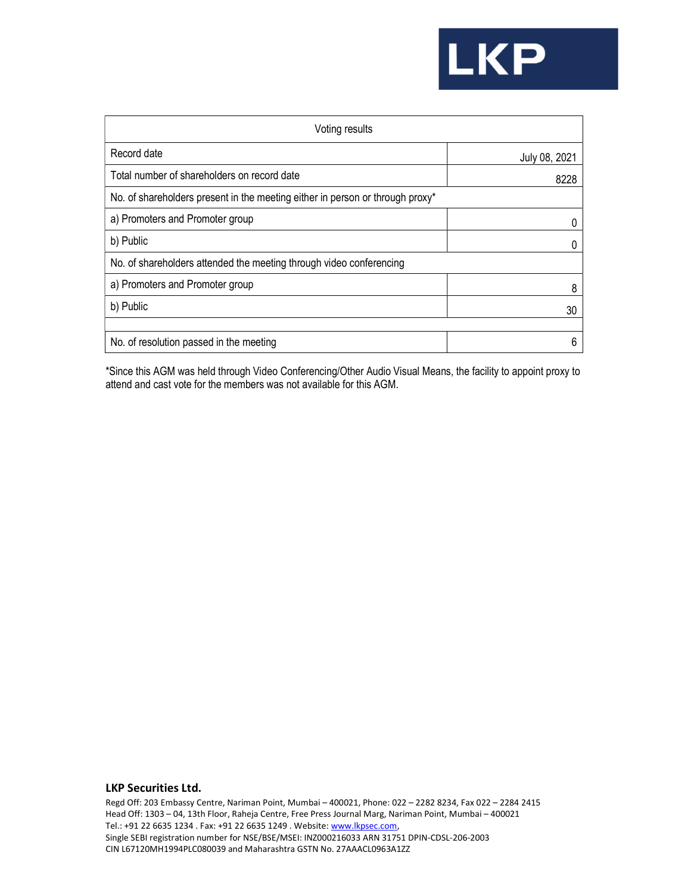# **LKP**

| Voting results                                                                |               |  |  |  |  |  |
|-------------------------------------------------------------------------------|---------------|--|--|--|--|--|
| Record date                                                                   | July 08, 2021 |  |  |  |  |  |
| Total number of shareholders on record date                                   | 8228          |  |  |  |  |  |
| No. of shareholders present in the meeting either in person or through proxy* |               |  |  |  |  |  |
| a) Promoters and Promoter group                                               | O             |  |  |  |  |  |
| b) Public                                                                     |               |  |  |  |  |  |
| No. of shareholders attended the meeting through video conferencing           |               |  |  |  |  |  |
| a) Promoters and Promoter group                                               | 8             |  |  |  |  |  |
| b) Public                                                                     | 30            |  |  |  |  |  |
|                                                                               |               |  |  |  |  |  |
| No. of resolution passed in the meeting                                       | 6             |  |  |  |  |  |

\*Since this AGM was held through Video Conferencing/Other Audio Visual Means, the facility to appoint proxy to attend and cast vote for the members was not available for this AGM.

### LKP Securities Ltd.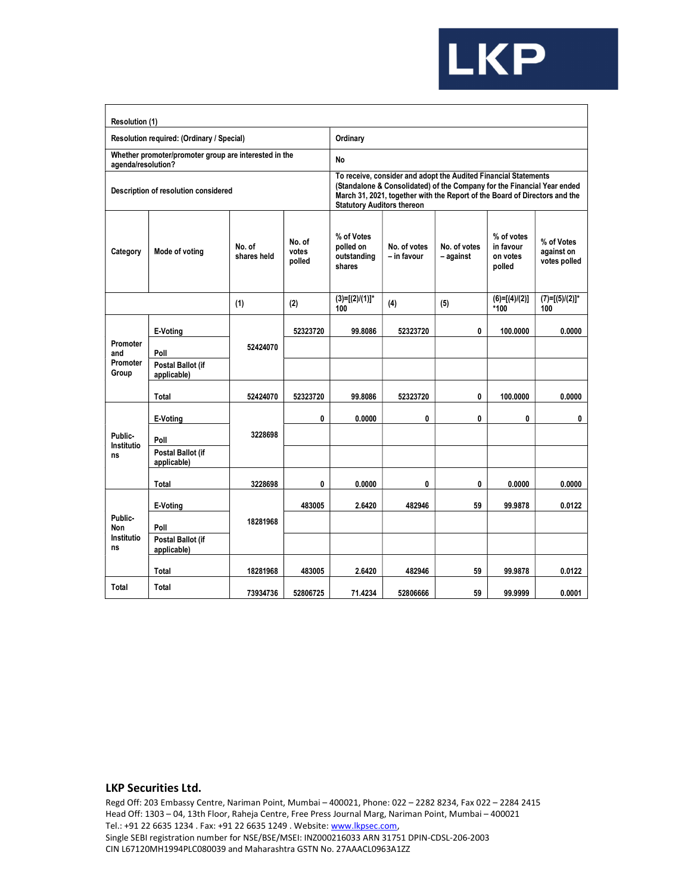

| Resolution (1)                       |                                                       |                                                                                                                                                                                                                                                               |                           |                                                  |                             |                           |                                               |                                          |
|--------------------------------------|-------------------------------------------------------|---------------------------------------------------------------------------------------------------------------------------------------------------------------------------------------------------------------------------------------------------------------|---------------------------|--------------------------------------------------|-----------------------------|---------------------------|-----------------------------------------------|------------------------------------------|
|                                      | Resolution required: (Ordinary / Special)             |                                                                                                                                                                                                                                                               |                           | Ordinary                                         |                             |                           |                                               |                                          |
| agenda/resolution?                   | Whether promoter/promoter group are interested in the |                                                                                                                                                                                                                                                               |                           | No                                               |                             |                           |                                               |                                          |
|                                      | Description of resolution considered                  | To receive, consider and adopt the Audited Financial Statements<br>(Standalone & Consolidated) of the Company for the Financial Year ended<br>March 31, 2021, together with the Report of the Board of Directors and the<br><b>Statutory Auditors thereon</b> |                           |                                                  |                             |                           |                                               |                                          |
| Category                             | Mode of voting                                        | No. of<br>shares held                                                                                                                                                                                                                                         | No. of<br>votes<br>polled | % of Votes<br>polled on<br>outstanding<br>shares | No. of votes<br>- in favour | No. of votes<br>– against | % of votes<br>in favour<br>on votes<br>polled | % of Votes<br>against on<br>votes polled |
|                                      |                                                       | (1)                                                                                                                                                                                                                                                           | (2)                       | $(3)=[(2)/(1)]^*$<br>100                         | (4)                         | (5)                       | $(6)=[(4)/(2)]$<br>*100                       | $(7)=[(5)/(2)]^*$<br>100                 |
|                                      | E-Voting                                              |                                                                                                                                                                                                                                                               | 52323720                  | 99.8086                                          | 52323720                    | 0                         | 100.0000                                      | 0.0000                                   |
| Promoter<br>and<br>Promoter<br>Group | Poll                                                  | 52424070                                                                                                                                                                                                                                                      |                           |                                                  |                             |                           |                                               |                                          |
|                                      | Postal Ballot (if<br>applicable)                      |                                                                                                                                                                                                                                                               |                           |                                                  |                             |                           |                                               |                                          |
|                                      | Total                                                 | 52424070                                                                                                                                                                                                                                                      | 52323720                  | 99.8086                                          | 52323720                    | 0                         | 100.0000                                      | 0.0000                                   |
|                                      | E-Voting                                              |                                                                                                                                                                                                                                                               | 0                         | 0.0000                                           | 0                           | 0                         | 0                                             | 0                                        |
| Public-                              | Poll                                                  | 3228698                                                                                                                                                                                                                                                       |                           |                                                  |                             |                           |                                               |                                          |
| Institutio<br>ns                     | Postal Ballot (if<br>applicable)                      |                                                                                                                                                                                                                                                               |                           |                                                  |                             |                           |                                               |                                          |
|                                      | Total                                                 | 3228698                                                                                                                                                                                                                                                       | 0                         | 0.0000                                           | 0                           | 0                         | 0.0000                                        | 0.0000                                   |
|                                      | E-Voting                                              |                                                                                                                                                                                                                                                               | 483005                    | 2.6420                                           | 482946                      | 59                        | 99.9878                                       | 0.0122                                   |
| Public-<br>Non                       | Poll                                                  | 18281968                                                                                                                                                                                                                                                      |                           |                                                  |                             |                           |                                               |                                          |
| Institutio<br>ns                     | Postal Ballot (if<br>applicable)                      |                                                                                                                                                                                                                                                               |                           |                                                  |                             |                           |                                               |                                          |
|                                      | Total                                                 | 18281968                                                                                                                                                                                                                                                      | 483005                    | 2.6420                                           | 482946                      | 59                        | 99.9878                                       | 0.0122                                   |
| Total                                | Total                                                 | 73934736                                                                                                                                                                                                                                                      | 52806725                  | 71.4234                                          | 52806666                    | 59                        | 99.9999                                       | 0.0001                                   |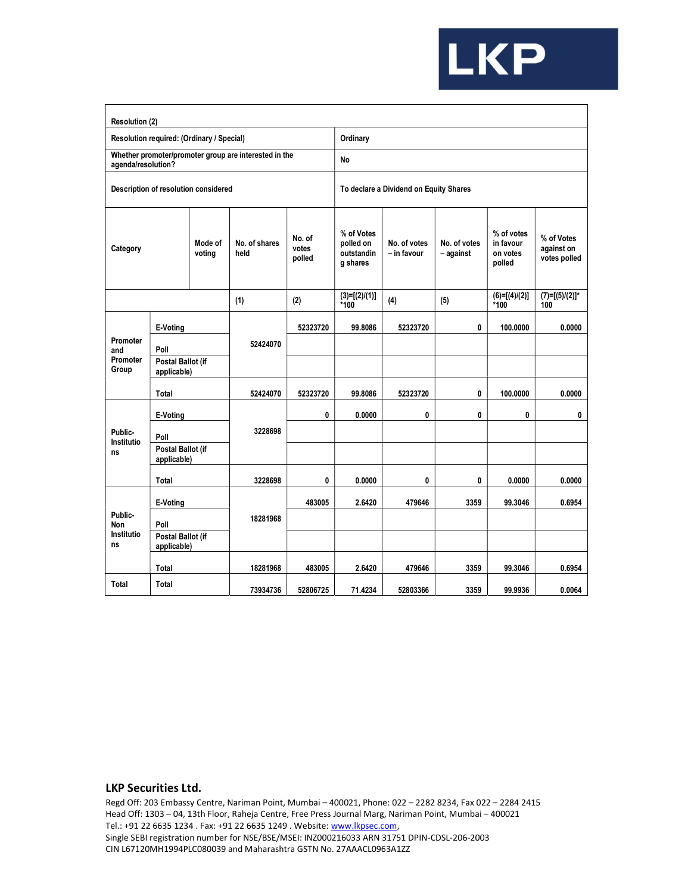

| Resolution (2)           |                                          |                                           |                                                       |                           |                                                   |                                        |                           |                                               |                                          |  |  |  |
|--------------------------|------------------------------------------|-------------------------------------------|-------------------------------------------------------|---------------------------|---------------------------------------------------|----------------------------------------|---------------------------|-----------------------------------------------|------------------------------------------|--|--|--|
|                          |                                          | Resolution required: (Ordinary / Special) |                                                       |                           | Ordinary                                          |                                        |                           |                                               |                                          |  |  |  |
| agenda/resolution?       |                                          |                                           | Whether promoter/promoter group are interested in the |                           | No                                                |                                        |                           |                                               |                                          |  |  |  |
|                          |                                          | Description of resolution considered      |                                                       |                           |                                                   | To declare a Dividend on Equity Shares |                           |                                               |                                          |  |  |  |
| Category                 |                                          | Mode of<br>voting                         | No. of shares<br>held                                 | No. of<br>votes<br>polled | % of Votes<br>polled on<br>outstandin<br>g shares | No. of votes<br>- in favour            | No. of votes<br>- against | % of votes<br>in favour<br>on votes<br>polled | % of Votes<br>against on<br>votes polled |  |  |  |
|                          |                                          |                                           | (1)                                                   | (2)                       | $(3)=[(2)/(1)]$<br>*100                           | (4)                                    | (5)                       | $(6)=[(4)/(2)]$<br>*100                       | $(7)=[(5)/(2)]^*$<br>100                 |  |  |  |
| Promoter                 | E-Voting                                 |                                           | 52424070                                              | 52323720                  | 99.8086                                           | 52323720                               | 0                         | 100.0000                                      | 0.0000                                   |  |  |  |
| and<br>Promoter<br>Group | Poll<br>Postal Ballot (if<br>applicable) |                                           |                                                       |                           |                                                   |                                        |                           |                                               |                                          |  |  |  |
|                          | Total                                    |                                           | 52424070                                              | 52323720                  | 99.8086                                           | 52323720                               | 0                         | 100.0000                                      | 0.0000                                   |  |  |  |
|                          | E-Voting                                 |                                           |                                                       | 0                         | 0.0000                                            | 0                                      | 0                         | 0                                             | 0                                        |  |  |  |
| Public-<br>Institutio    | Poll                                     |                                           | 3228698                                               |                           |                                                   |                                        |                           |                                               |                                          |  |  |  |
| ns                       | Postal Ballot (if<br>applicable)         |                                           |                                                       |                           |                                                   |                                        |                           |                                               |                                          |  |  |  |
|                          | Total                                    |                                           | 3228698                                               | 0                         | 0.0000                                            | 0                                      | 0                         | 0.0000                                        | 0.0000                                   |  |  |  |
|                          | E-Voting                                 |                                           |                                                       | 483005                    | 2.6420                                            | 479646                                 | 3359                      | 99.3046                                       | 0.6954                                   |  |  |  |
| Public-<br><b>Non</b>    | Poll                                     |                                           | 18281968                                              |                           |                                                   |                                        |                           |                                               |                                          |  |  |  |
| Institutio<br>ns         | Postal Ballot (if<br>applicable)         |                                           |                                                       |                           |                                                   |                                        |                           |                                               |                                          |  |  |  |
|                          | Total                                    |                                           | 18281968                                              | 483005                    | 2.6420                                            | 479646                                 | 3359                      | 99.3046                                       | 0.6954                                   |  |  |  |
| Total                    | Total                                    |                                           | 73934736                                              | 52806725                  | 71.4234                                           | 52803366                               | 3359                      | 99.9936                                       | 0.0064                                   |  |  |  |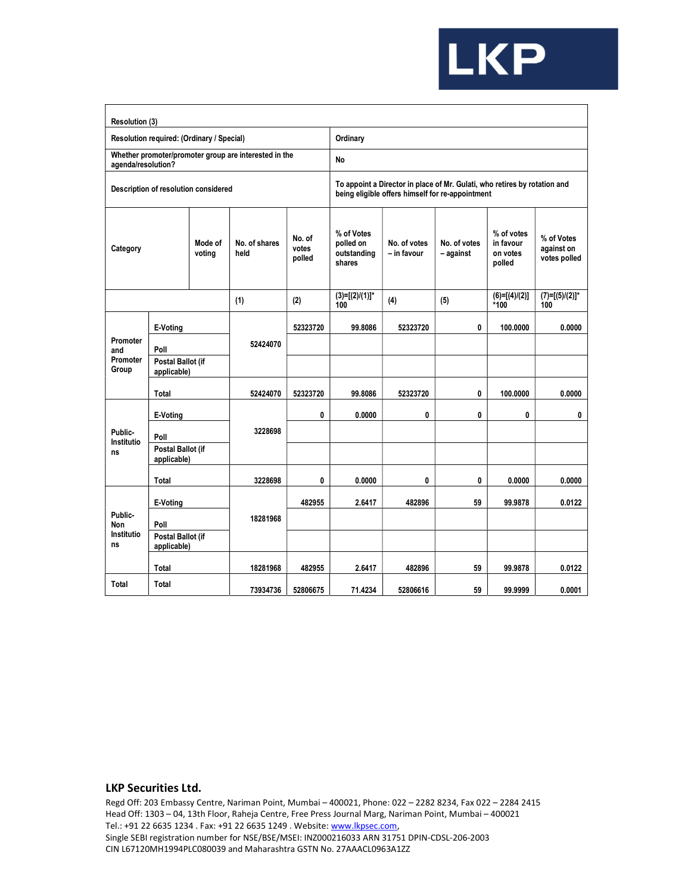

| Resolution (3)                      |                                           |                   |                                                       |                           |                                                                                                                               |                             |                           |                                               |                                          |  |  |  |  |
|-------------------------------------|-------------------------------------------|-------------------|-------------------------------------------------------|---------------------------|-------------------------------------------------------------------------------------------------------------------------------|-----------------------------|---------------------------|-----------------------------------------------|------------------------------------------|--|--|--|--|
|                                     | Resolution required: (Ordinary / Special) |                   |                                                       |                           | Ordinary                                                                                                                      |                             |                           |                                               |                                          |  |  |  |  |
| agenda/resolution?                  |                                           |                   | Whether promoter/promoter group are interested in the |                           | No                                                                                                                            |                             |                           |                                               |                                          |  |  |  |  |
|                                     | Description of resolution considered      |                   |                                                       |                           | To appoint a Director in place of Mr. Gulati, who retires by rotation and<br>being eligible offers himself for re-appointment |                             |                           |                                               |                                          |  |  |  |  |
| Category                            |                                           | Mode of<br>voting | No. of shares<br>held                                 | No. of<br>votes<br>polled | % of Votes<br>polled on<br>outstanding<br>shares                                                                              | No. of votes<br>- in favour | No. of votes<br>- against | % of votes<br>in favour<br>on votes<br>polled | % of Votes<br>against on<br>votes polled |  |  |  |  |
|                                     |                                           |                   | (1)                                                   | (2)                       | $(3)=[(2)/(1)]^*$<br>100                                                                                                      | (4)                         | (5)                       | $(6)=[(4)/(2)]$<br>*100                       | $(7)=[(5)/(2)]^*$<br>100                 |  |  |  |  |
| Promoter                            | E-Voting                                  |                   | 52424070                                              | 52323720                  | 99.8086                                                                                                                       | 52323720                    | 0                         | 100.0000                                      | 0.0000                                   |  |  |  |  |
| and<br>Promoter<br>Group            | Poll<br>Postal Ballot (if<br>applicable)  |                   |                                                       |                           |                                                                                                                               |                             |                           |                                               |                                          |  |  |  |  |
|                                     | Total                                     |                   | 52424070                                              | 52323720                  | 99.8086                                                                                                                       | 52323720                    | 0                         | 100.0000                                      | 0.0000                                   |  |  |  |  |
|                                     | E-Voting                                  |                   |                                                       | 0                         | 0.0000                                                                                                                        | 0                           | 0                         | 0                                             | 0                                        |  |  |  |  |
| Public-<br>Institutio               | Poll                                      |                   | 3228698                                               |                           |                                                                                                                               |                             |                           |                                               |                                          |  |  |  |  |
| ns                                  | Postal Ballot (if<br>applicable)          |                   |                                                       |                           |                                                                                                                               |                             |                           |                                               |                                          |  |  |  |  |
|                                     | Total                                     |                   | 3228698                                               | 0                         | 0.0000                                                                                                                        | 0                           | 0                         | 0.0000                                        | 0.0000                                   |  |  |  |  |
|                                     | E-Voting                                  |                   |                                                       | 482955                    | 2.6417                                                                                                                        | 482896                      | 59                        | 99.9878                                       | 0.0122                                   |  |  |  |  |
| Public-<br><b>Non</b><br>Institutio | Poll<br>Postal Ballot (if                 |                   | 18281968                                              |                           |                                                                                                                               |                             |                           |                                               |                                          |  |  |  |  |
| ns                                  | applicable)                               |                   |                                                       |                           |                                                                                                                               |                             |                           |                                               |                                          |  |  |  |  |
|                                     | Total                                     |                   | 18281968                                              | 482955                    | 2.6417                                                                                                                        | 482896                      | 59                        | 99.9878                                       | 0.0122                                   |  |  |  |  |
| Total                               | Total                                     |                   | 73934736                                              | 52806675                  | 71.4234                                                                                                                       | 52806616                    | 59                        | 99.9999                                       | 0.0001                                   |  |  |  |  |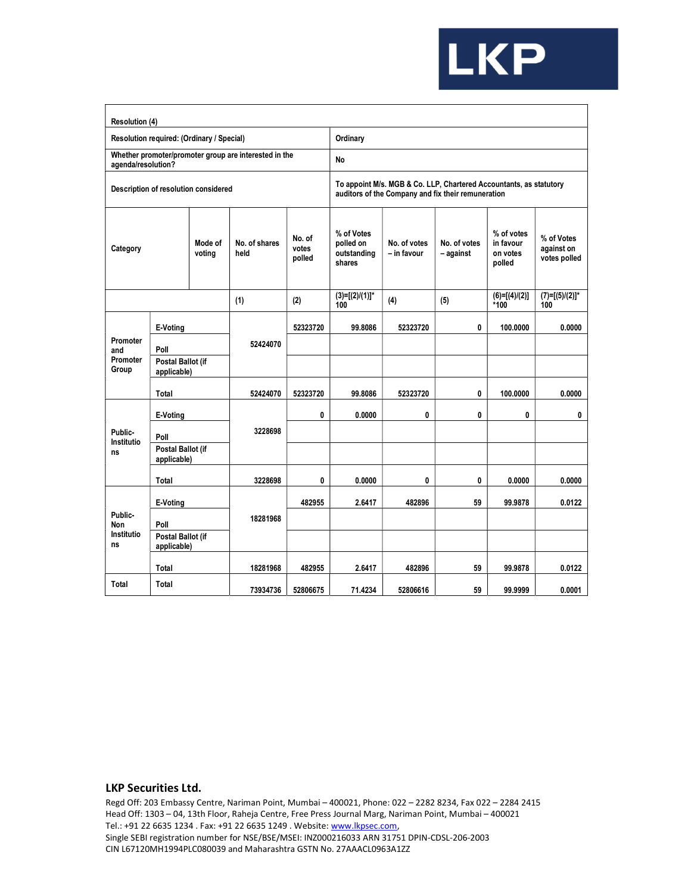

| Resolution (4)           |                                          |                                           |                                                       |                           |                                                                                                                          |                             |                           |                                               |                                          |  |  |  |
|--------------------------|------------------------------------------|-------------------------------------------|-------------------------------------------------------|---------------------------|--------------------------------------------------------------------------------------------------------------------------|-----------------------------|---------------------------|-----------------------------------------------|------------------------------------------|--|--|--|
|                          |                                          | Resolution required: (Ordinary / Special) |                                                       |                           | Ordinary                                                                                                                 |                             |                           |                                               |                                          |  |  |  |
| agenda/resolution?       |                                          |                                           | Whether promoter/promoter group are interested in the |                           | No                                                                                                                       |                             |                           |                                               |                                          |  |  |  |
|                          |                                          | Description of resolution considered      |                                                       |                           | To appoint M/s. MGB & Co. LLP, Chartered Accountants, as statutory<br>auditors of the Company and fix their remuneration |                             |                           |                                               |                                          |  |  |  |
| Category                 |                                          | Mode of<br>voting                         | No. of shares<br>held                                 | No. of<br>votes<br>polled | % of Votes<br>polled on<br>outstanding<br>shares                                                                         | No. of votes<br>- in favour | No. of votes<br>- against | % of votes<br>in favour<br>on votes<br>polled | % of Votes<br>against on<br>votes polled |  |  |  |
|                          |                                          |                                           | (1)                                                   | (2)                       | $(3)=[(2)/(1)]^*$<br>100                                                                                                 | (4)                         | (5)                       | $(6)=[(4)/(2)]$<br>*100                       | $(7)=[(5)/(2)]^*$<br>100                 |  |  |  |
| Promoter                 | E-Voting                                 |                                           | 52424070                                              | 52323720                  | 99.8086                                                                                                                  | 52323720                    | 0                         | 100.0000                                      | 0.0000                                   |  |  |  |
| and<br>Promoter<br>Group | Poll<br>Postal Ballot (if<br>applicable) |                                           |                                                       |                           |                                                                                                                          |                             |                           |                                               |                                          |  |  |  |
|                          | Total                                    |                                           | 52424070                                              | 52323720                  | 99.8086                                                                                                                  | 52323720                    | 0                         | 100.0000                                      | 0.0000                                   |  |  |  |
|                          | E-Voting                                 |                                           |                                                       | 0                         | 0.0000                                                                                                                   | 0                           | 0                         | 0                                             | 0                                        |  |  |  |
| Public-                  | Poll                                     |                                           | 3228698                                               |                           |                                                                                                                          |                             |                           |                                               |                                          |  |  |  |
| Institutio<br>ns         | Postal Ballot (if<br>applicable)         |                                           |                                                       |                           |                                                                                                                          |                             |                           |                                               |                                          |  |  |  |
|                          | Total                                    |                                           | 3228698                                               | 0                         | 0.0000                                                                                                                   | 0                           | 0                         | 0.0000                                        | 0.0000                                   |  |  |  |
|                          | E-Voting                                 |                                           |                                                       | 482955                    | 2.6417                                                                                                                   | 482896                      | 59                        | 99.9878                                       | 0.0122                                   |  |  |  |
| Public-<br>Non           | Poll                                     |                                           | 18281968                                              |                           |                                                                                                                          |                             |                           |                                               |                                          |  |  |  |
| Institutio<br>ns         | Postal Ballot (if<br>applicable)         |                                           |                                                       |                           |                                                                                                                          |                             |                           |                                               |                                          |  |  |  |
|                          | Total                                    |                                           | 18281968                                              | 482955                    | 2.6417                                                                                                                   | 482896                      | 59                        | 99.9878                                       | 0.0122                                   |  |  |  |
| Total                    | Total                                    |                                           | 73934736                                              | 52806675                  | 71.4234                                                                                                                  | 52806616                    | 59                        | 99.9999                                       | 0.0001                                   |  |  |  |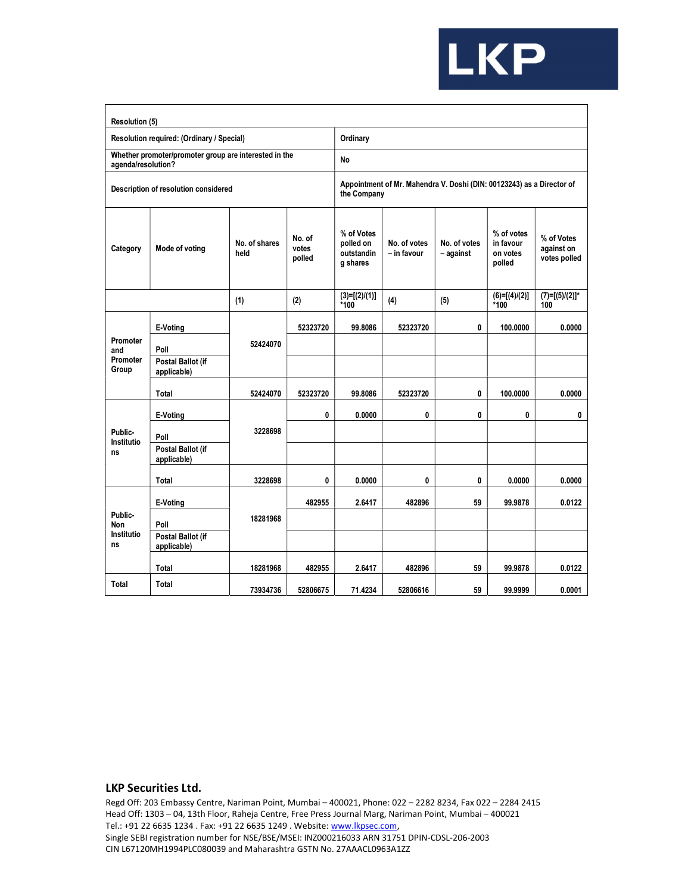

| Resolution (5)                       |                                                       |                       |                           |                                                   |                             |                                                                       |                                               |                                          |
|--------------------------------------|-------------------------------------------------------|-----------------------|---------------------------|---------------------------------------------------|-----------------------------|-----------------------------------------------------------------------|-----------------------------------------------|------------------------------------------|
|                                      | Resolution required: (Ordinary / Special)             |                       |                           | Ordinary                                          |                             |                                                                       |                                               |                                          |
| agenda/resolution?                   | Whether promoter/promoter group are interested in the |                       |                           | No                                                |                             |                                                                       |                                               |                                          |
|                                      | Description of resolution considered                  |                       |                           | the Company                                       |                             | Appointment of Mr. Mahendra V. Doshi (DIN: 00123243) as a Director of |                                               |                                          |
| Category                             | Mode of voting                                        | No. of shares<br>held | No. of<br>votes<br>polled | % of Votes<br>polled on<br>outstandin<br>g shares | No. of votes<br>- in favour | No. of votes<br>- against                                             | % of votes<br>in favour<br>on votes<br>polled | % of Votes<br>against on<br>votes polled |
|                                      |                                                       | (1)                   | (2)                       | $(3)=[(2)/(1)]$<br>*100                           | (4)                         | (5)                                                                   | $(6)=[(4)/(2)]$<br>*100                       | $(7)=[(5)/(2)]^*$<br>100                 |
|                                      | E-Voting                                              |                       | 52323720                  | 99.8086                                           | 52323720                    | 0                                                                     | 100.0000                                      | 0.0000                                   |
| Promoter<br>and<br>Promoter<br>Group | Poll                                                  | 52424070              |                           |                                                   |                             |                                                                       |                                               |                                          |
|                                      | Postal Ballot (if<br>applicable)                      |                       |                           |                                                   |                             |                                                                       |                                               |                                          |
|                                      | Total                                                 | 52424070              | 52323720                  | 99.8086                                           | 52323720                    |                                                                       | 100.0000                                      | 0.0000                                   |
|                                      | E-Voting                                              |                       | 0                         | 0.0000                                            | 0                           | 0                                                                     | 0                                             | 0                                        |
| Public-                              | Poll                                                  | 3228698               |                           |                                                   |                             |                                                                       |                                               |                                          |
| Institutio<br>ns                     | Postal Ballot (if<br>applicable)                      |                       |                           |                                                   |                             |                                                                       |                                               |                                          |
|                                      | Total                                                 | 3228698               | 0                         | 0.0000                                            | 0                           | 0                                                                     | 0.0000                                        | 0.0000                                   |
|                                      | E-Voting                                              |                       | 482955                    | 2.6417                                            | 482896                      | 59                                                                    | 99.9878                                       | 0.0122                                   |
| Public-<br><b>Non</b>                | Poll                                                  | 18281968              |                           |                                                   |                             |                                                                       |                                               |                                          |
| Institutio<br>ns                     | Postal Ballot (if<br>applicable)                      |                       |                           |                                                   |                             |                                                                       |                                               |                                          |
|                                      | Total                                                 | 18281968              | 482955                    | 2.6417                                            | 482896                      | 59                                                                    | 99.9878                                       | 0.0122                                   |
| Total                                | Total                                                 | 73934736              | 52806675                  | 71.4234                                           | 52806616                    | 59                                                                    | 99.9999                                       | 0.0001                                   |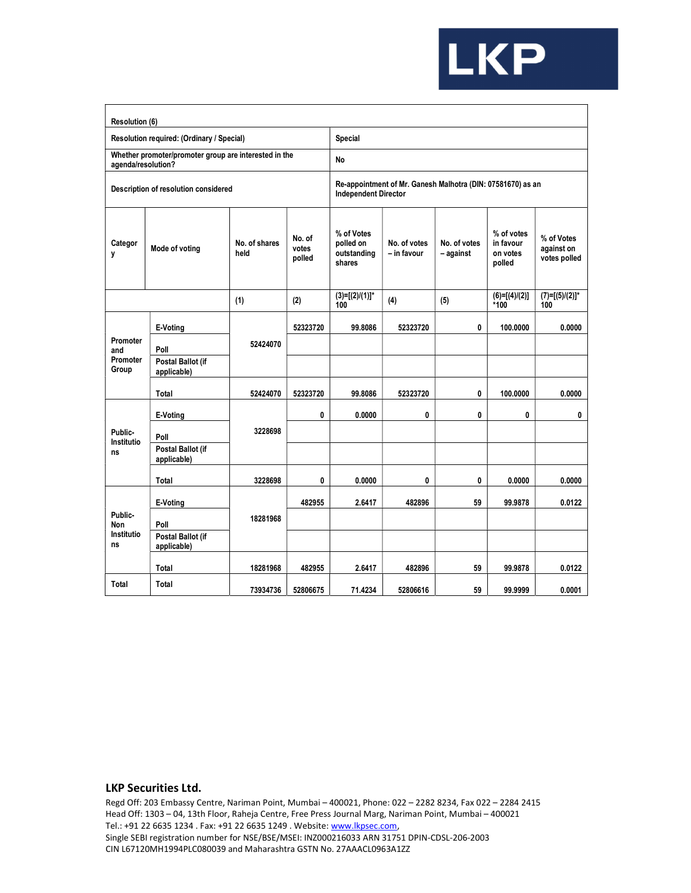

| Resolution (6)                     |                                                       |                       |                           |                                                                                            |                             |                           |                                               |                                          |  |  |  |  |
|------------------------------------|-------------------------------------------------------|-----------------------|---------------------------|--------------------------------------------------------------------------------------------|-----------------------------|---------------------------|-----------------------------------------------|------------------------------------------|--|--|--|--|
|                                    | Resolution required: (Ordinary / Special)             |                       |                           | Special                                                                                    |                             |                           |                                               |                                          |  |  |  |  |
| agenda/resolution?                 | Whether promoter/promoter group are interested in the |                       |                           | No                                                                                         |                             |                           |                                               |                                          |  |  |  |  |
|                                    | Description of resolution considered                  |                       |                           | Re-appointment of Mr. Ganesh Malhotra (DIN: 07581670) as an<br><b>Independent Director</b> |                             |                           |                                               |                                          |  |  |  |  |
| Categor<br>y                       | Mode of voting                                        | No. of shares<br>held | No. of<br>votes<br>polled | % of Votes<br>polled on<br>outstanding<br>shares                                           | No. of votes<br>– in favour | No. of votes<br>- against | % of votes<br>in favour<br>on votes<br>polled | % of Votes<br>against on<br>votes polled |  |  |  |  |
|                                    |                                                       | (1)                   | (2)                       | $(3)=[(2)/(1)]^*$<br>100                                                                   | (4)                         | (5)                       | $(6)=[(4)/(2)]$<br>$*100$                     | $(7)=[(5)/(2)]^*$<br>100                 |  |  |  |  |
| Promoter                           | E-Voting                                              | 52424070              | 52323720                  | 99.8086                                                                                    | 52323720                    | 0                         | 100.0000                                      | 0.0000                                   |  |  |  |  |
| and<br>Promoter<br>Group           | Poll<br>Postal Ballot (if<br>applicable)              |                       |                           |                                                                                            |                             |                           |                                               |                                          |  |  |  |  |
|                                    | Total                                                 | 52424070              | 52323720                  | 99.8086                                                                                    | 52323720                    | 0                         | 100.0000                                      | 0.0000                                   |  |  |  |  |
|                                    | E-Voting                                              |                       | 0                         | 0.0000                                                                                     | 0                           | 0                         | 0                                             | 0                                        |  |  |  |  |
| Public-<br>Institutio              | Poll                                                  | 3228698               |                           |                                                                                            |                             |                           |                                               |                                          |  |  |  |  |
| ns                                 | Postal Ballot (if<br>applicable)                      |                       |                           |                                                                                            |                             |                           |                                               |                                          |  |  |  |  |
|                                    | Total                                                 | 3228698               | 0                         | 0.0000                                                                                     | 0                           | 0                         | 0.0000                                        | 0.0000                                   |  |  |  |  |
|                                    | E-Voting                                              |                       | 482955                    | 2.6417                                                                                     | 482896                      | 59                        | 99.9878                                       | 0.0122                                   |  |  |  |  |
| Public-<br>Non<br>Institutio<br>ns | Poll                                                  | 18281968              |                           |                                                                                            |                             |                           |                                               |                                          |  |  |  |  |
|                                    | Postal Ballot (if<br>applicable)                      |                       |                           |                                                                                            |                             |                           |                                               |                                          |  |  |  |  |
|                                    | Total                                                 | 18281968              | 482955                    | 2.6417                                                                                     | 482896                      | 59                        | 99.9878                                       | 0.0122                                   |  |  |  |  |
| Total                              | Total                                                 | 73934736              | 52806675                  | 71.4234                                                                                    | 52806616                    | 59                        | 99.9999                                       | 0.0001                                   |  |  |  |  |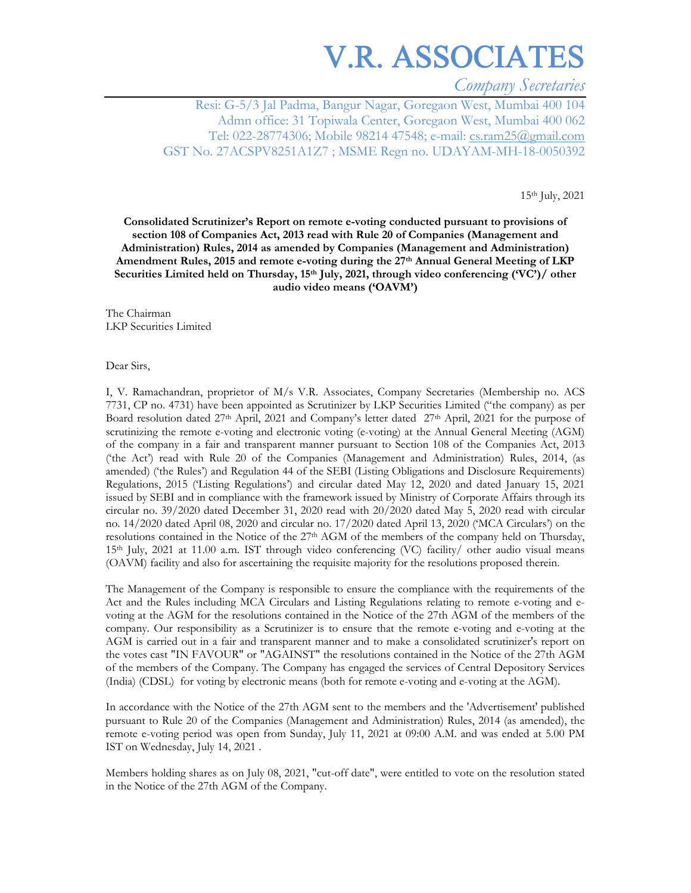*Company Secretaries* 

Resi: G-5/3 Jal Padma, Bangur Nagar, Goregaon West, Mumbai 400 104 Admn office: 31 Topiwala Center, Goregaon West, Mumbai 400 062 Tel: 022-28774306; Mobile 98214 47548; e-mail: cs.ram25@gmail.com GST No. 27ACSPV8251A1Z7 ; MSME Regn no. UDAYAM-MH-18-0050392

15th July, 2021

**Consolidated Scrutinizer's Report on remote e-voting conducted pursuant to provisions of section 108 of Companies Act, 2013 read with Rule 20 of Companies (Management and Administration) Rules, 2014 as amended by Companies (Management and Administration) Amendment Rules, 2015 and remote e-voting during the 27th Annual General Meeting of LKP Securities Limited held on Thursday, 15th July, 2021, through video conferencing ('VC')/ other audio video means ('OAVM')** 

The Chairman LKP Securities Limited

Dear Sirs,

I, V. Ramachandran, proprietor of M/s V.R. Associates, Company Secretaries (Membership no. ACS 7731, CP no. 4731) have been appointed as Scrutinizer by LKP Securities Limited ("the company) as per Board resolution dated 27<sup>th</sup> April, 2021 and Company's letter dated 27<sup>th</sup> April, 2021 for the purpose of scrutinizing the remote e-voting and electronic voting (e-voting) at the Annual General Meeting (AGM) of the company in a fair and transparent manner pursuant to Section 108 of the Companies Act, 2013 ('the Act') read with Rule 20 of the Companies (Management and Administration) Rules, 2014, (as amended) ('the Rules') and Regulation 44 of the SEBI (Listing Obligations and Disclosure Requirements) Regulations, 2015 ('Listing Regulations') and circular dated May 12, 2020 and dated January 15, 2021 issued by SEBI and in compliance with the framework issued by Ministry of Corporate Affairs through its circular no. 39/2020 dated December 31, 2020 read with 20/2020 dated May 5, 2020 read with circular no. 14/2020 dated April 08, 2020 and circular no. 17/2020 dated April 13, 2020 ('MCA Circulars') on the resolutions contained in the Notice of the 27th AGM of the members of the company held on Thursday, 15th July, 2021 at 11.00 a.m. IST through video conferencing (VC) facility/ other audio visual means (OAVM) facility and also for ascertaining the requisite majority for the resolutions proposed therein.

The Management of the Company is responsible to ensure the compliance with the requirements of the Act and the Rules including MCA Circulars and Listing Regulations relating to remote e-voting and evoting at the AGM for the resolutions contained in the Notice of the 27th AGM of the members of the company. Our responsibility as a Scrutinizer is to ensure that the remote e-voting and e-voting at the AGM is carried out in a fair and transparent manner and to make a consolidated scrutinizer's report on the votes cast "IN FAVOUR" or "AGAINST" the resolutions contained in the Notice of the 27th AGM of the members of the Company. The Company has engaged the services of Central Depository Services (India) (CDSL) for voting by electronic means (both for remote e-voting and e-voting at the AGM).

In accordance with the Notice of the 27th AGM sent to the members and the 'Advertisement' published pursuant to Rule 20 of the Companies (Management and Administration) Rules, 2014 (as amended), the remote e-voting period was open from Sunday, July 11, 2021 at 09:00 A.M. and was ended at 5.00 PM IST on Wednesday, July 14, 2021 .

Members holding shares as on July 08, 2021, "cut-off date", were entitled to vote on the resolution stated in the Notice of the 27th AGM of the Company.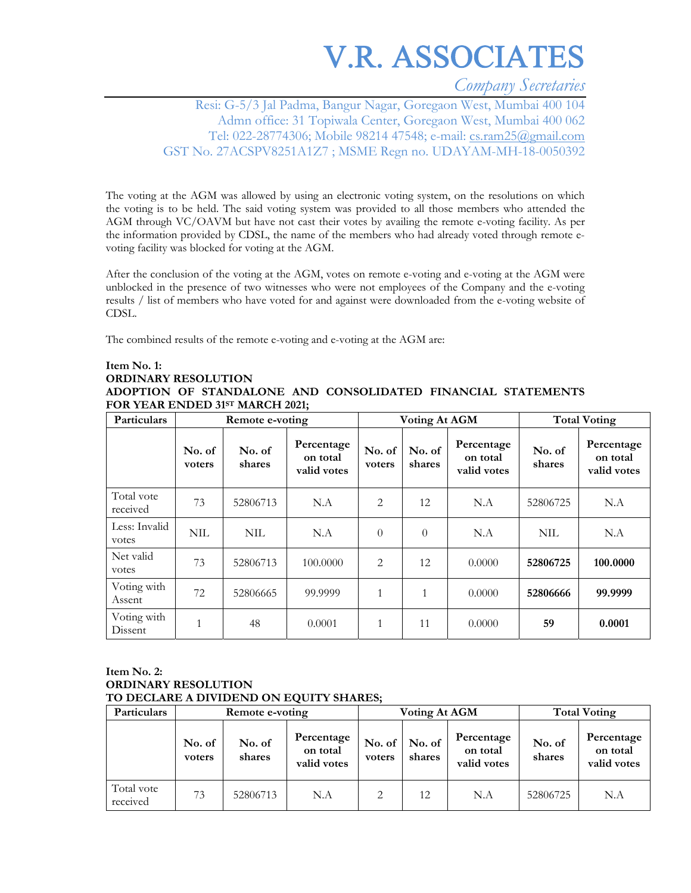*Company Secretaries* 

Resi: G-5/3 Jal Padma, Bangur Nagar, Goregaon West, Mumbai 400 104 Admn office: 31 Topiwala Center, Goregaon West, Mumbai 400 062 Tel: 022-28774306; Mobile 98214 47548; e-mail: cs.ram25@gmail.com GST No. 27ACSPV8251A1Z7 ; MSME Regn no. UDAYAM-MH-18-0050392

The voting at the AGM was allowed by using an electronic voting system, on the resolutions on which the voting is to be held. The said voting system was provided to all those members who attended the AGM through VC/OAVM but have not cast their votes by availing the remote e-voting facility. As per the information provided by CDSL, the name of the members who had already voted through remote evoting facility was blocked for voting at the AGM.

After the conclusion of the voting at the AGM, votes on remote e-voting and e-voting at the AGM were unblocked in the presence of two witnesses who were not employees of the Company and the e-voting results / list of members who have voted for and against were downloaded from the e-voting website of CDSL.

The combined results of the remote e-voting and e-voting at the AGM are:

### **Item No. 1: ORDINARY RESOLUTION ADOPTION OF STANDALONE AND CONSOLIDATED FINANCIAL STATEMENTS FOR YEAR ENDED 31ST MARCH 2021;**

| <b>Particulars</b>     |                  | Remote e-voting  |                                       |                  | <b>Voting At AGM</b> |                                       | <b>Total Voting</b> |                                       |
|------------------------|------------------|------------------|---------------------------------------|------------------|----------------------|---------------------------------------|---------------------|---------------------------------------|
|                        | No. of<br>voters | No. of<br>shares | Percentage<br>on total<br>valid votes | No. of<br>voters | No. of<br>shares     | Percentage<br>on total<br>valid votes | No. of<br>shares    | Percentage<br>on total<br>valid votes |
| Total vote<br>received | 73               | 52806713         | N.A                                   | 2                | 12                   | N.A                                   | 52806725            | N.A                                   |
| Less: Invalid<br>votes | <b>NIL</b>       | NIL              | N.A                                   | $\theta$         | $\theta$             | N.A                                   | <b>NIL</b>          | N.A                                   |
| Net valid<br>votes     | 73               | 52806713         | 100,0000                              | 2                | 12                   | 0.0000                                | 52806725            | 100.0000                              |
| Voting with<br>Assent  | 72               | 52806665         | 99.9999                               | 1                | 1                    | 0.0000                                | 52806666            | 99.9999                               |
| Voting with<br>Dissent | $\mathbf{1}$     | 48               | 0.0001                                | $\mathbf{1}$     | 11                   | 0.0000                                | 59                  | 0.0001                                |

### **Item No. 2: ORDINARY RESOLUTION TO DECLARE A DIVIDEND ON EQUITY SHARES;**

| Particulars            |                  | Remote e-voting  |                                       |                  | Voting At AGM    |                                       | <b>Total Voting</b> |                                       |
|------------------------|------------------|------------------|---------------------------------------|------------------|------------------|---------------------------------------|---------------------|---------------------------------------|
|                        | No. of<br>voters | No. of<br>shares | Percentage<br>on total<br>valid votes | No. of<br>voters | No. of<br>shares | Percentage<br>on total<br>valid votes | No. of<br>shares    | Percentage<br>on total<br>valid votes |
| Total vote<br>received | 73               | 52806713         | N.A                                   | 2                | 12               | N.A                                   | 52806725            | N.A                                   |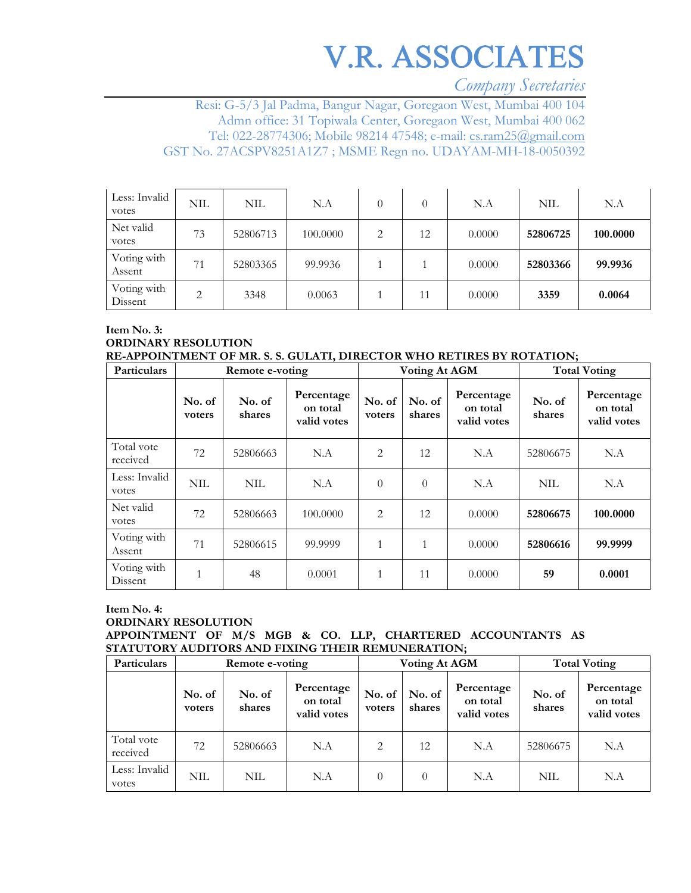*Company Secretaries* 

Resi: G-5/3 Jal Padma, Bangur Nagar, Goregaon West, Mumbai 400 104 Admn office: 31 Topiwala Center, Goregaon West, Mumbai 400 062 Tel: 022-28774306; Mobile 98214 47548; e-mail: cs.ram25@gmail.com GST No. 27ACSPV8251A1Z7 ; MSME Regn no. UDAYAM-MH-18-0050392

| Less: Invalid<br>votes | NIL | <b>NIL</b> | N.A      |   | $\theta$ | N.A    | <b>NIL</b> | N.A      |
|------------------------|-----|------------|----------|---|----------|--------|------------|----------|
| Net valid<br>votes     | 73  | 52806713   | 100,0000 | 2 | 12       | 0.0000 | 52806725   | 100.0000 |
| Voting with<br>Assent  | 71  | 52803365   | 99.9936  |   |          | 0.0000 | 52803366   | 99.9936  |
| Voting with<br>Dissent | 2   | 3348       | 0.0063   |   | 11       | 0.0000 | 3359       | 0.0064   |

**Item No. 3: ORDINARY RESOLUTION RE-APPOINTMENT OF MR. S. S. GULATI, DIRECTOR WHO RETIRES BY ROTATION;** 

| Particulars            |                  | Remote e-voting  |                                       |                  | <b>Voting At AGM</b> |                                       |                  | <b>Total Voting</b>                   |
|------------------------|------------------|------------------|---------------------------------------|------------------|----------------------|---------------------------------------|------------------|---------------------------------------|
|                        | No. of<br>voters | No. of<br>shares | Percentage<br>on total<br>valid votes | No. of<br>voters | No. of<br>shares     | Percentage<br>on total<br>valid votes | No. of<br>shares | Percentage<br>on total<br>valid votes |
| Total vote<br>received | 72               | 52806663         | N.A                                   | $\overline{2}$   | 12                   | N.A                                   | 52806675         | N.A                                   |
| Less: Invalid<br>votes | <b>NIL</b>       | <b>NIL</b>       | N.A                                   | $\theta$         | $\theta$             | N.A                                   | <b>NIL</b>       | N.A                                   |
| Net valid<br>votes     | 72               | 52806663         | 100,0000                              | 2                | 12                   | 0.0000                                | 52806675         | 100.0000                              |
| Voting with<br>Assent  | 71               | 52806615         | 99.9999                               | $\mathbf{1}$     | 1                    | 0.0000                                | 52806616         | 99.9999                               |
| Voting with<br>Dissent |                  | 48               | 0.0001                                | $\mathbf{1}$     | 11                   | 0.0000                                | 59               | 0.0001                                |

### **Item No. 4: ORDINARY RESOLUTION APPOINTMENT OF M/S MGB & CO. LLP, CHARTERED ACCOUNTANTS AS**

**STATUTORY AUDITORS AND FIXING THEIR REMUNERATION;**  Particulars **Remote e-voting Total Voting At AGM** Total Voting

| Particulars            | Remote e-voting  |                  |                                       |                  | VOUNG AT AGM     |                                       | Total Voting     |                                       |
|------------------------|------------------|------------------|---------------------------------------|------------------|------------------|---------------------------------------|------------------|---------------------------------------|
|                        | No. of<br>voters | No. of<br>shares | Percentage<br>on total<br>valid votes | No. of<br>voters | No. of<br>shares | Percentage<br>on total<br>valid votes | No. of<br>shares | Percentage<br>on total<br>valid votes |
| Total vote<br>received | 72               | 52806663         | N.A                                   | 2                | 12               | N.A                                   | 52806675         | N.A                                   |
| Less: Invalid<br>votes | <b>NIL</b>       | NIL              | N.A                                   | $\theta$         | $\Omega$         | N.A                                   | NIL              | N.A                                   |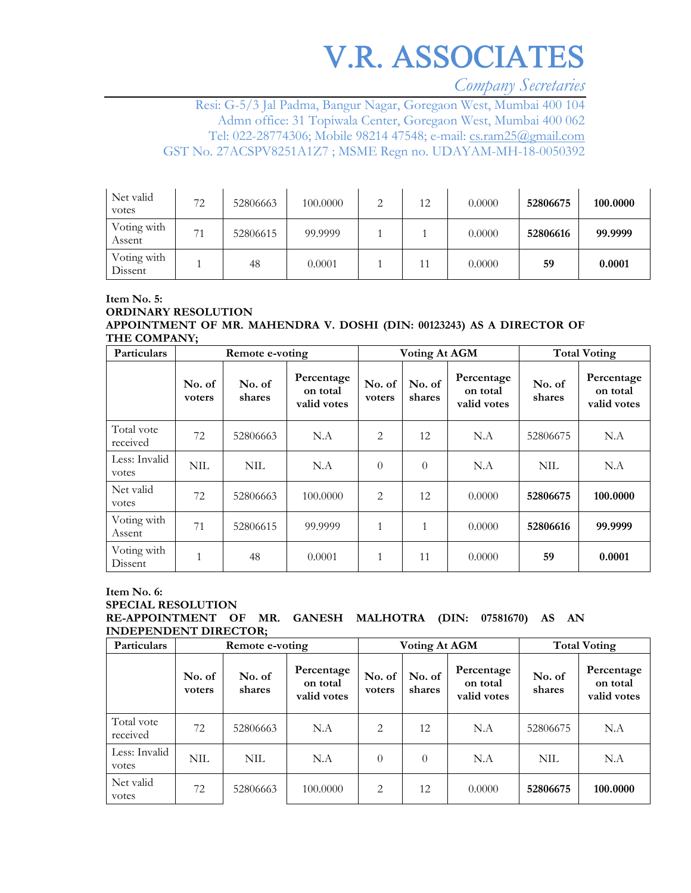*Company Secretaries* 

Resi: G-5/3 Jal Padma, Bangur Nagar, Goregaon West, Mumbai 400 104 Admn office: 31 Topiwala Center, Goregaon West, Mumbai 400 062 Tel: 022-28774306; Mobile 98214 47548; e-mail: cs.ram25@gmail.com GST No. 27ACSPV8251A1Z7 ; MSME Regn no. UDAYAM-MH-18-0050392

| Net valid<br>votes     | 72 | 52806663 | 100.0000 | ◠ | 12 | 0.0000 | 52806675 | 100.0000 |
|------------------------|----|----------|----------|---|----|--------|----------|----------|
| Voting with<br>Assent  | 74 | 52806615 | 99.9999  |   |    | 0.0000 | 52806616 | 99.9999  |
| Voting with<br>Dissent |    | 48       | 0.0001   |   | 11 | 0.0000 | 59       | 0.0001   |

### **Item No. 5: ORDINARY RESOLUTION APPOINTMENT OF MR. MAHENDRA V. DOSHI (DIN: 00123243) AS A DIRECTOR OF THE COMPANY;**

| Particulars            | Remote e-voting  |                  |                                       | Voting At AGM    |                  |                                       | <b>Total Voting</b> |                                       |
|------------------------|------------------|------------------|---------------------------------------|------------------|------------------|---------------------------------------|---------------------|---------------------------------------|
|                        | No. of<br>voters | No. of<br>shares | Percentage<br>on total<br>valid votes | No. of<br>voters | No. of<br>shares | Percentage<br>on total<br>valid votes | No. of<br>shares    | Percentage<br>on total<br>valid votes |
| Total vote<br>received | 72               | 52806663         | N.A                                   | 2                | 12               | N.A                                   | 52806675            | N.A                                   |
| Less: Invalid<br>votes | <b>NIL</b>       | <b>NIL</b>       | N.A                                   | $\theta$         | $\theta$         | N.A                                   | <b>NIL</b>          | N.A                                   |
| Net valid<br>votes     | 72               | 52806663         | 100.0000                              | $\overline{2}$   | 12               | 0.0000                                | 52806675            | 100.0000                              |
| Voting with<br>Assent  | 71               | 52806615         | 99.9999                               | $\mathbf{1}$     | 1                | 0.0000                                | 52806616            | 99.9999                               |
| Voting with<br>Dissent |                  | 48               | 0.0001                                | $\mathbf{1}$     | 11               | 0.0000                                | 59                  | 0.0001                                |

### **Item No. 6: SPECIAL RESOLUTION RE-APPOINTMENT OF MR. GANESH MALHOTRA (DIN: 07581670) AS AN INDEPENDENT DIRECTOR;**

| Particulars            | Remote e-voting  |                  |                                       | <b>Voting At AGM</b> |                  |                                       | <b>Total Voting</b> |                                       |
|------------------------|------------------|------------------|---------------------------------------|----------------------|------------------|---------------------------------------|---------------------|---------------------------------------|
|                        | No. of<br>voters | No. of<br>shares | Percentage<br>on total<br>valid votes | No. of<br>voters     | No. of<br>shares | Percentage<br>on total<br>valid votes | No. of<br>shares    | Percentage<br>on total<br>valid votes |
| Total vote<br>received | 72               | 52806663         | N.A                                   | 2                    | 12               | N.A                                   | 52806675            | N.A                                   |
| Less: Invalid<br>votes | <b>NIL</b>       | NIL              | N.A                                   | $\theta$             | $\theta$         | N.A                                   | <b>NIL</b>          | N.A                                   |
| Net valid<br>votes     | 72               | 52806663         | 100.0000                              | 2                    | 12               | 0.0000                                | 52806675            | 100.0000                              |